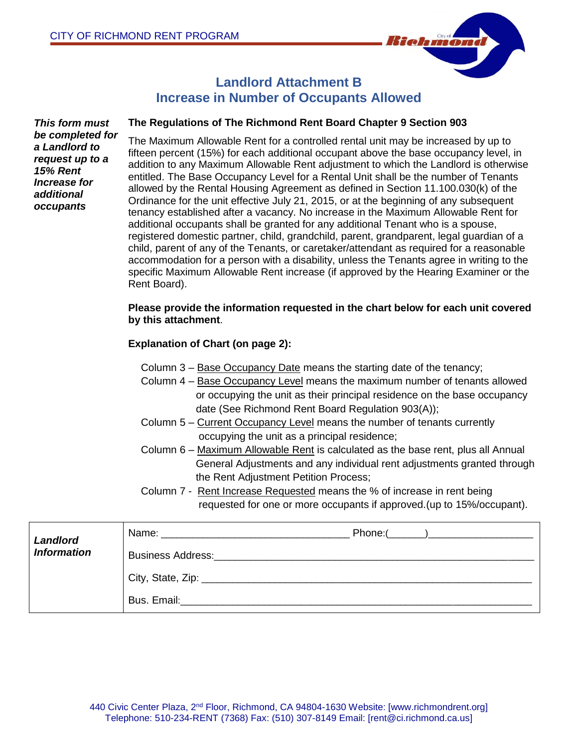

## **Landlord Attachment B Increase in Number of Occupants Allowed**

*This form must be completed for a Landlord to request up to a 15% Rent Increase for additional occupants*

#### **The Regulations of The Richmond Rent Board Chapter 9 Section 903**

The Maximum Allowable Rent for a controlled rental unit may be increased by up to fifteen percent (15%) for each additional occupant above the base occupancy level, in addition to any Maximum Allowable Rent adjustment to which the Landlord is otherwise entitled. The Base Occupancy Level for a Rental Unit shall be the number of Tenants allowed by the Rental Housing Agreement as defined in Section 11.100.030(k) of the Ordinance for the unit effective July 21, 2015, or at the beginning of any subsequent tenancy established after a vacancy. No increase in the Maximum Allowable Rent for additional occupants shall be granted for any additional Tenant who is a spouse, registered domestic partner, child, grandchild, parent, grandparent, legal guardian of a child, parent of any of the Tenants, or caretaker/attendant as required for a reasonable accommodation for a person with a disability, unless the Tenants agree in writing to the specific Maximum Allowable Rent increase (if approved by the Hearing Examiner or the Rent Board).

#### **Please provide the information requested in the chart below for each unit covered by this attachment**.

### **Explanation of Chart (on page 2):**

- Column 3 Base Occupancy Date means the starting date of the tenancy;
- Column 4 Base Occupancy Level means the maximum number of tenants allowed or occupying the unit as their principal residence on the base occupancy date (See Richmond Rent Board Regulation 903(A));
- Column 5 Current Occupancy Level means the number of tenants currently occupying the unit as a principal residence;
- Column 6 Maximum Allowable Rent is calculated as the base rent, plus all Annual General Adjustments and any individual rent adjustments granted through the Rent Adjustment Petition Process;
- Column 7 Rent Increase Requested means the % of increase in rent being requested for one or more occupants if approved.(up to 15%/occupant).

| <b>Landlord</b><br><b>Information</b> |                                            |  |
|---------------------------------------|--------------------------------------------|--|
|                                       | <b>Business Address:</b>                   |  |
|                                       | City, State, Zip: ________________________ |  |
|                                       | Bus. Email:                                |  |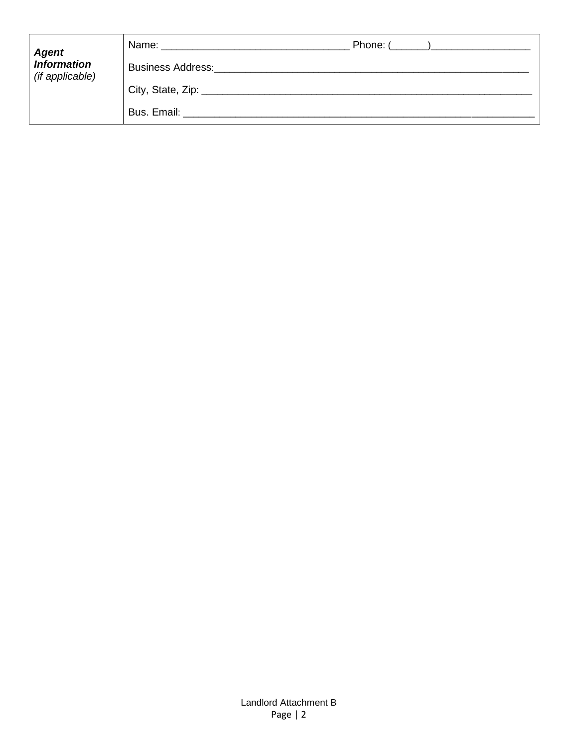| <b>Agent</b><br>Information<br>(if applicable) | Phone: (________)_____________<br>Name: _______________ |
|------------------------------------------------|---------------------------------------------------------|
|                                                | <b>Business Address:</b>                                |
|                                                | City, State, Zip: _________                             |
|                                                | Bus. Email:                                             |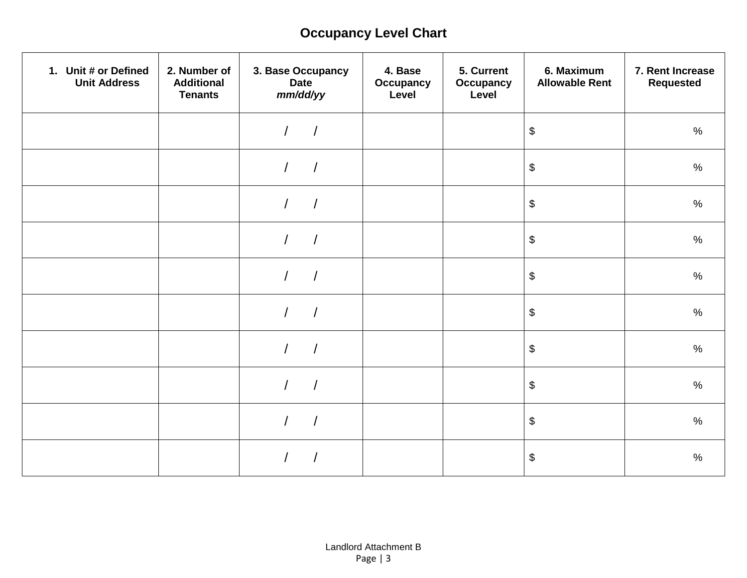# **Occupancy Level Chart**

| 1. Unit # or Defined<br><b>Unit Address</b> | 2. Number of<br><b>Additional</b><br><b>Tenants</b> | 3. Base Occupancy<br><b>Date</b><br>mm/dd/yy | 4. Base<br>Occupancy<br>Level | 5. Current<br><b>Occupancy</b><br>Level | 6. Maximum<br><b>Allowable Rent</b>       | 7. Rent Increase<br><b>Requested</b> |
|---------------------------------------------|-----------------------------------------------------|----------------------------------------------|-------------------------------|-----------------------------------------|-------------------------------------------|--------------------------------------|
|                                             |                                                     |                                              |                               |                                         | $\, \, \raisebox{12pt}{$\scriptstyle \$}$ | $\%$                                 |
|                                             |                                                     | $\overline{1}$<br>$\sqrt{2}$                 |                               |                                         | $\, \, \raisebox{12pt}{$\scriptstyle \$}$ | $\%$                                 |
|                                             |                                                     | $\overline{1}$<br>$\sqrt{2}$                 |                               |                                         | $\, \, \raisebox{12pt}{$\scriptstyle \$}$ | $\%$                                 |
|                                             |                                                     |                                              |                               |                                         | $\, \, \raisebox{12pt}{$\scriptstyle \$}$ | $\%$                                 |
|                                             |                                                     |                                              |                               |                                         | $\boldsymbol{\$}$                         | $\%$                                 |
|                                             |                                                     |                                              |                               |                                         | $\, \, \raisebox{12pt}{$\scriptstyle \$}$ | $\%$                                 |
|                                             |                                                     | $\overline{1}$                               |                               |                                         | $\, \, \raisebox{12pt}{$\scriptstyle \$}$ | $\%$                                 |
|                                             |                                                     |                                              |                               |                                         | $\boldsymbol{\$}$                         | $\%$                                 |
|                                             |                                                     |                                              |                               |                                         | \$                                        | $\%$                                 |
|                                             |                                                     |                                              |                               |                                         | \$                                        | $\%$                                 |